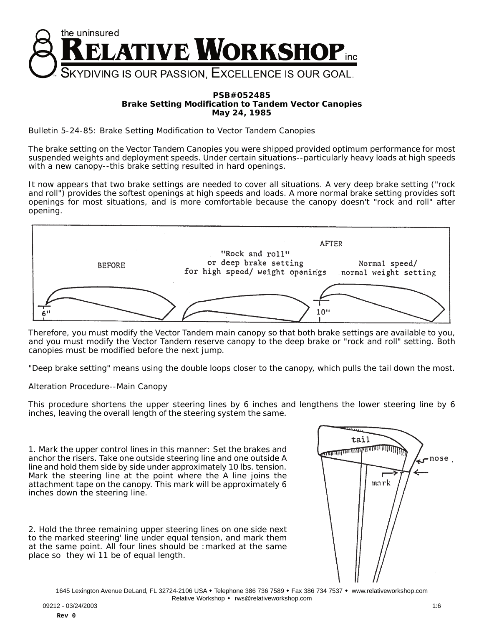

## **PSB#052485 Brake Setting Modification to Tandem Vector Canopies May 24, 1985**

Bulletin 5-24-85: Brake Setting Modification to Vector Tandem Canopies

The brake setting on the Vector Tandem Canopies you were shipped provided optimum performance for most suspended weights and deployment speeds. Under certain situations--particularly heavy loads at high speeds with a new canopy--this brake setting resulted in hard openings.

It now appears that two brake settings are needed to cover all situations. A very deep brake setting ("rock and roll") provides the softest openings at high speeds and loads. A more normal brake setting provides soft openings for most situations, and is more comfortable because the canopy doesn't "rock and roll" after opening.



Therefore, you must modify the Vector Tandem main canopy so that both brake settings are available to you, and you must modify the Vector Tandem reserve canopy to the deep brake or "rock and roll" setting. Both canopies must be modified before the next jump.

"Deep brake setting" means using the double loops closer to the canopy, which pulls the tail down the most.

Alteration Procedure--Main Canopy

This procedure shortens the upper steering lines by 6 inches and lengthens the lower steering line by 6 inches, leaving the overall length of the steering system the same.

1. Mark the upper control lines in this manner: Set the brakes and anchor the risers. Take one outside steering line and one outside A line and hold them side by side under approximately 10 lbs. tension. Mark the steering line at the point where the A line joins the attachment tape on the canopy. This mark will be approximately 6 inches down the steering line.

2. Hold the three remaining upper steering lines on one side next to the marked steering' line under equal tension, and mark them at the same point. All four lines should be :marked at the same place so they wi 11 be of equal length.



1645 Lexington Avenue DeLand, FL 32724-2106 USA . Telephone 386 736 7589 . Fax 386 734 7537 . www.relativeworkshop.com Relative Workshop • rws@relativeworkshop.com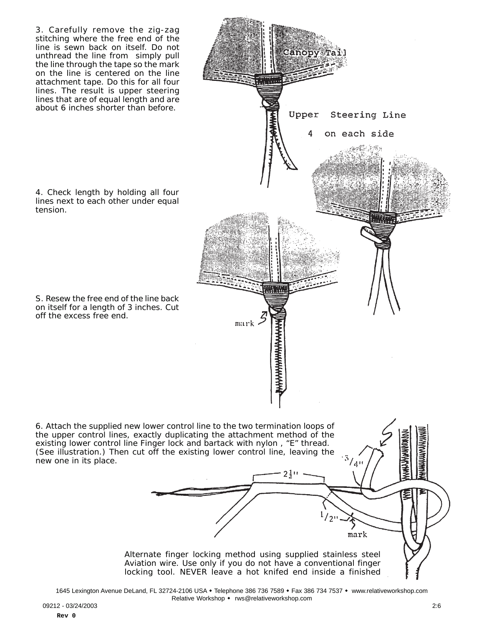

1645 Lexington Avenue DeLand, FL 32724-2106 USA . Telephone 386 736 7589 . Fax 386 734 7537 . www.relativeworkshop.com Relative Workshop • rws@relativeworkshop.com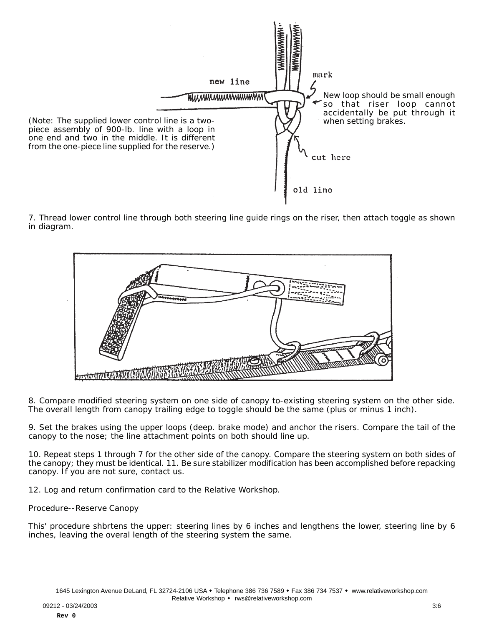

7. Thread lower control line through both steering line guide rings on the riser, then attach toggle as shown in diagram.



8. Compare modified steering system on one side of canopy to-existing steering system on the other side. The overall length from canopy trailing edge to toggle should be the same (plus or minus 1 inch).

9. Set the brakes using the upper loops (deep. brake mode) and anchor the risers. Compare the tail of the canopy to the nose; the line attachment points on both should line up.

10. Repeat steps 1 through 7 for the other side of the canopy. Compare the steering system on both sides of the canopy; they must be identical. 11. Be sure stabilizer modification has been accomplished before repacking canopy. If you are not sure, contact us.

12. Log and return confirmation card to the Relative Workshop.

Procedure--Reserve Canopy

This' procedure shbrtens the upper: steering lines by 6 inches and lengthens the lower, steering line by 6 inches, leaving the overal length of the steering system the same.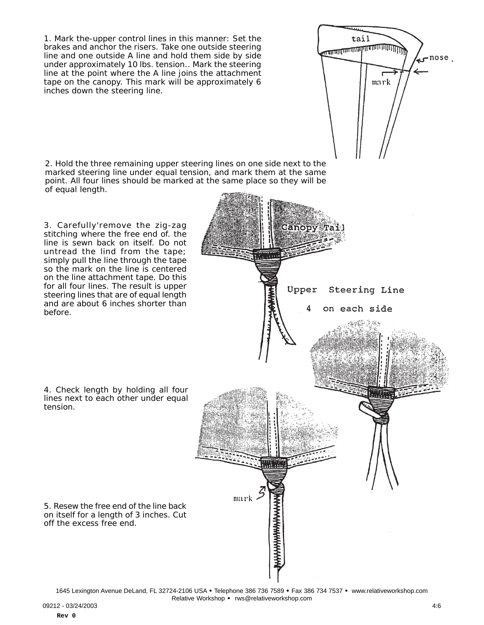1. Mark the-upper control lines in this manner: Set the brakes and anchor the risers. Take one outside steering line and one outside A line and hold them side by side under approximately 10 lbs. tension.. Mark the steering line at the point where the A line joins the attachment tape on the canopy. This mark will be approximately 6 inches down the steering line.

2. Hold the three remaining upper steering lines on one side next to the marked steering line under equal tension, and mark them at the same point. All four lines should be marked at the same place so they will be of equal length.

3. Carefully'remove the zig-zag stitching where the free end of. the line is sewn back on itself. Do not untread the lind from the tape; simply pull the line through the tape so the mark on the line is centered on the line attachment tape. Do this for all four lines. The result is upper steering lines that are of equal length and are about 6 inches shorter than before.

4. Check length by holding all four lines next to each other under equal tension.

5. Resew the free end of the line back on itself for a length of 3 inches. Cut off the excess free end.

1645 Lexington Avenue DeLand, FL 32724-2106 USA . Telephone 386 736 7589 . Fax 386 734 7537 . www.relativeworkshop.com Relative Workshop • rws@relativeworkshop.com

mark .

tail Hummmmmmmmmmmmmm

Upper

mark

Steering Line

on each side

 $\sim$ nose.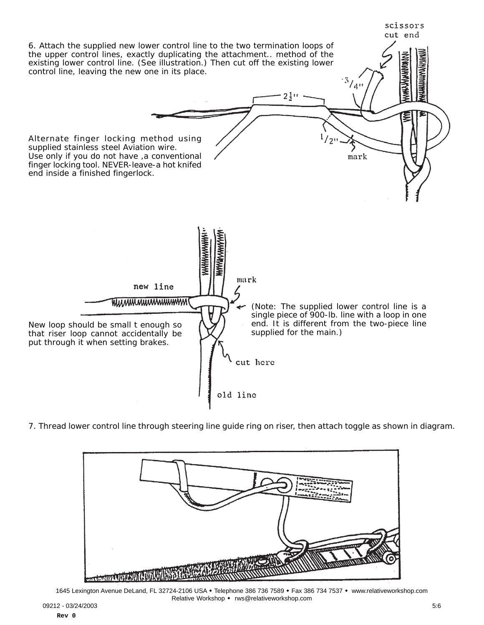

7. Thread lower control line through steering line guide ring on riser, then attach toggle as shown in diagram.



1645 Lexington Avenue DeLand, FL 32724-2106 USA . Telephone 386 736 7589 . Fax 386 734 7537 . www.relativeworkshop.com Relative Workshop • rws@relativeworkshop.com